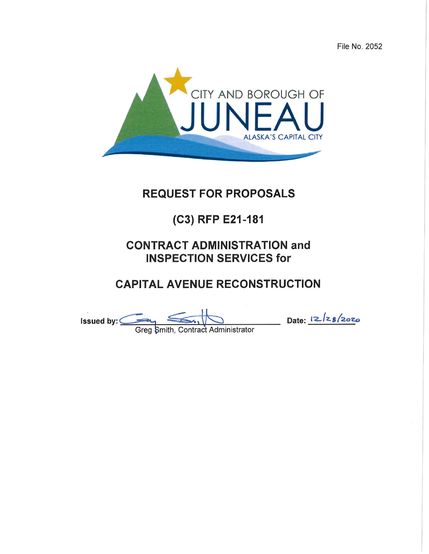File No. 2052



# **REQUEST FOR PROPOSALS**

# (C3) RFP E21-181

# **CONTRACT ADMINISTRATION and INSPECTION SERVICES for**

# **CAPITAL AVENUE RECONSTRUCTION**

Greg Smith, Contract Administrator<br>Greg Smith, Contract Administrator Issued by: $\subseteq$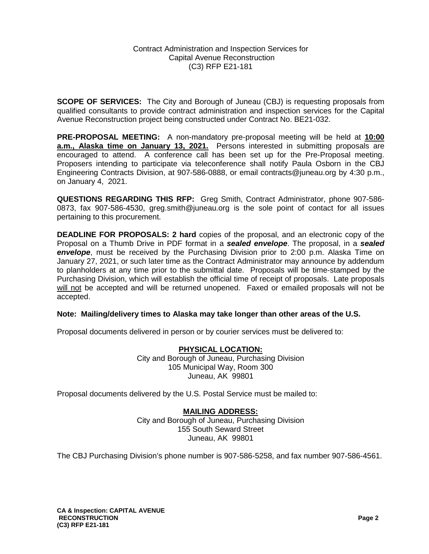**SCOPE OF SERVICES:** The City and Borough of Juneau (CBJ) is requesting proposals from qualified consultants to provide contract administration and inspection services for the Capital Avenue Reconstruction project being constructed under Contract No. BE21-032.

**PRE-PROPOSAL MEETING:** A non-mandatory pre-proposal meeting will be held at **10:00 a.m., Alaska time on January 13, 2021.** Persons interested in submitting proposals are encouraged to attend. A conference call has been set up for the Pre-Proposal meeting. Proposers intending to participate via teleconference shall notify Paula Osborn in the CBJ Engineering Contracts Division, at 907-586-0888, or email contracts@juneau.org by 4:30 p.m., on January 4, 2021.

**QUESTIONS REGARDING THIS RFP:** Greg Smith, Contract Administrator, phone 907-586- 0873, fax 907-586-4530, greg.smith@juneau.org is the sole point of contact for all issues pertaining to this procurement.

**DEADLINE FOR PROPOSALS: 2 hard** copies of the proposal, and an electronic copy of the Proposal on a Thumb Drive in PDF format in a *sealed envelope*. The proposal, in a *sealed envelope*, must be received by the Purchasing Division prior to 2:00 p.m. Alaska Time on January 27, 2021, or such later time as the Contract Administrator may announce by addendum to planholders at any time prior to the submittal date. Proposals will be time-stamped by the Purchasing Division, which will establish the official time of receipt of proposals. Late proposals will not be accepted and will be returned unopened. Faxed or emailed proposals will not be accepted.

#### **Note: Mailing/delivery times to Alaska may take longer than other areas of the U.S.**

Proposal documents delivered in person or by courier services must be delivered to:

**PHYSICAL LOCATION:** City and Borough of Juneau, Purchasing Division 105 Municipal Way, Room 300 Juneau, AK 99801

Proposal documents delivered by the U.S. Postal Service must be mailed to:

# **MAILING ADDRESS:**

City and Borough of Juneau, Purchasing Division 155 South Seward Street Juneau, AK 99801

The CBJ Purchasing Division's phone number is 907-586-5258, and fax number 907-586-4561.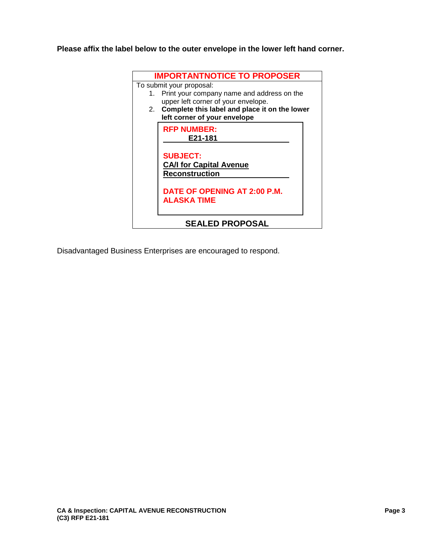**Please affix the label below to the outer envelope in the lower left hand corner.** 



Disadvantaged Business Enterprises are encouraged to respond.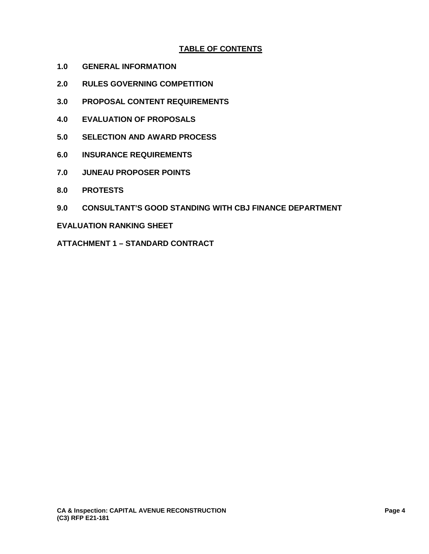# **TABLE OF CONTENTS**

- **1.0 GENERAL INFORMATION**
- **2.0 RULES GOVERNING COMPETITION**
- **3.0 PROPOSAL CONTENT REQUIREMENTS**
- **4.0 EVALUATION OF PROPOSALS**
- **5.0 SELECTION AND AWARD PROCESS**
- **6.0 INSURANCE REQUIREMENTS**
- **7.0 JUNEAU PROPOSER POINTS**
- **8.0 PROTESTS**
- **9.0 CONSULTANT'S GOOD STANDING WITH CBJ FINANCE DEPARTMENT**

#### **EVALUATION RANKING SHEET**

**ATTACHMENT 1 – STANDARD CONTRACT**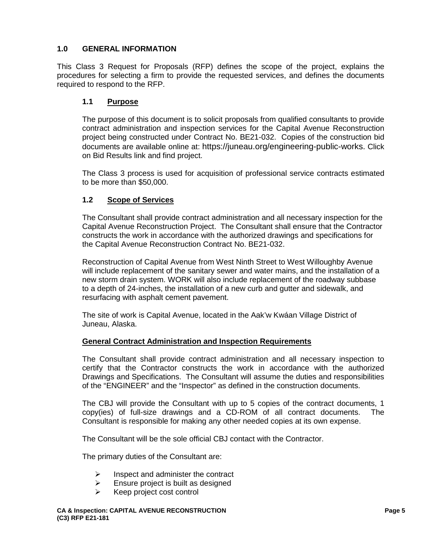# **1.0 GENERAL INFORMATION**

This Class 3 Request for Proposals (RFP) defines the scope of the project, explains the procedures for selecting a firm to provide the requested services, and defines the documents required to respond to the RFP.

## **1.1 Purpose**

The purpose of this document is to solicit proposals from qualified consultants to provide contract administration and inspection services for the Capital Avenue Reconstruction project being constructed under Contract No. BE21-032. Copies of the construction bid documents are available online at: https://juneau.org/engineering-public-works. Click on Bid Results link and find project.

The Class 3 process is used for acquisition of professional service contracts estimated to be more than \$50,000.

# **1.2 Scope of Services**

The Consultant shall provide contract administration and all necessary inspection for the Capital Avenue Reconstruction Project. The Consultant shall ensure that the Contractor constructs the work in accordance with the authorized drawings and specifications for the Capital Avenue Reconstruction Contract No. BE21-032.

Reconstruction of Capital Avenue from West Ninth Street to West Willoughby Avenue will include replacement of the sanitary sewer and water mains, and the installation of a new storm drain system. WORK will also include replacement of the roadway subbase to a depth of 24-inches, the installation of a new curb and gutter and sidewalk, and resurfacing with asphalt cement pavement.

The site of work is Capital Avenue, located in the Aak'w Kwáan Village District of Juneau, Alaska.

#### **General Contract Administration and Inspection Requirements**

The Consultant shall provide contract administration and all necessary inspection to certify that the Contractor constructs the work in accordance with the authorized Drawings and Specifications. The Consultant will assume the duties and responsibilities of the "ENGINEER" and the "Inspector" as defined in the construction documents.

The CBJ will provide the Consultant with up to 5 copies of the contract documents, 1 copy(ies) of full-size drawings and a CD-ROM of all contract documents. The Consultant is responsible for making any other needed copies at its own expense.

The Consultant will be the sole official CBJ contact with the Contractor.

The primary duties of the Consultant are:

- $\triangleright$  Inspect and administer the contract
- $\triangleright$  Ensure project is built as designed
- $\triangleright$  Keep project cost control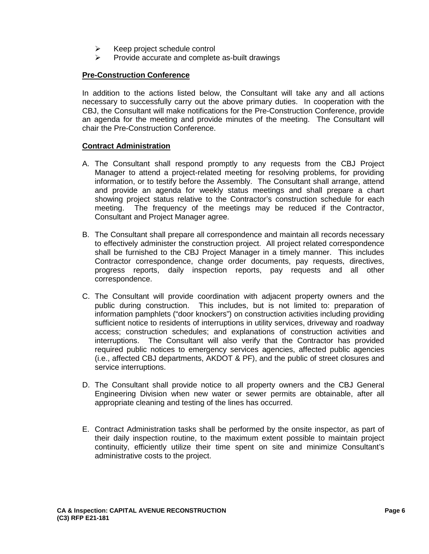- $\triangleright$  Keep project schedule control
- $\triangleright$  Provide accurate and complete as-built drawings

# **Pre-Construction Conference**

In addition to the actions listed below, the Consultant will take any and all actions necessary to successfully carry out the above primary duties. In cooperation with the CBJ, the Consultant will make notifications for the Pre-Construction Conference, provide an agenda for the meeting and provide minutes of the meeting. The Consultant will chair the Pre-Construction Conference.

#### **Contract Administration**

- A. The Consultant shall respond promptly to any requests from the CBJ Project Manager to attend a project-related meeting for resolving problems, for providing information, or to testify before the Assembly. The Consultant shall arrange, attend and provide an agenda for weekly status meetings and shall prepare a chart showing project status relative to the Contractor's construction schedule for each meeting. The frequency of the meetings may be reduced if the Contractor, Consultant and Project Manager agree.
- B. The Consultant shall prepare all correspondence and maintain all records necessary to effectively administer the construction project. All project related correspondence shall be furnished to the CBJ Project Manager in a timely manner. This includes Contractor correspondence, change order documents, pay requests, directives, progress reports, daily inspection reports, pay requests and all other correspondence.
- C. The Consultant will provide coordination with adjacent property owners and the public during construction. This includes, but is not limited to: preparation of information pamphlets ("door knockers") on construction activities including providing sufficient notice to residents of interruptions in utility services, driveway and roadway access; construction schedules; and explanations of construction activities and interruptions. The Consultant will also verify that the Contractor has provided required public notices to emergency services agencies, affected public agencies (i.e., affected CBJ departments, AKDOT & PF), and the public of street closures and service interruptions.
- D. The Consultant shall provide notice to all property owners and the CBJ General Engineering Division when new water or sewer permits are obtainable, after all appropriate cleaning and testing of the lines has occurred.
- E. Contract Administration tasks shall be performed by the onsite inspector, as part of their daily inspection routine, to the maximum extent possible to maintain project continuity, efficiently utilize their time spent on site and minimize Consultant's administrative costs to the project.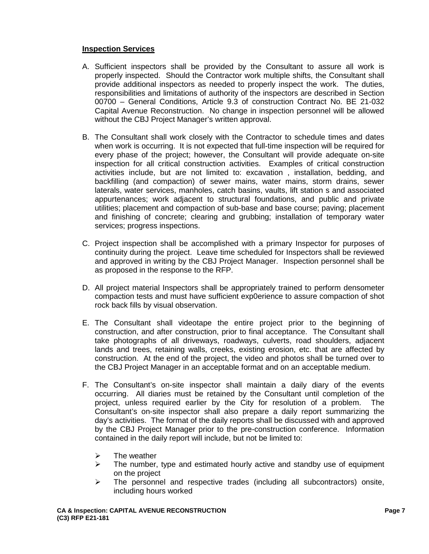## **Inspection Services**

- A. Sufficient inspectors shall be provided by the Consultant to assure all work is properly inspected. Should the Contractor work multiple shifts, the Consultant shall provide additional inspectors as needed to properly inspect the work. The duties, responsibilities and limitations of authority of the inspectors are described in Section 00700 – General Conditions, Article 9.3 of construction Contract No. BE 21-032 Capital Avenue Reconstruction. No change in inspection personnel will be allowed without the CBJ Project Manager's written approval.
- B. The Consultant shall work closely with the Contractor to schedule times and dates when work is occurring. It is not expected that full-time inspection will be required for every phase of the project; however, the Consultant will provide adequate on-site inspection for all critical construction activities. Examples of critical construction activities include, but are not limited to: excavation , installation, bedding, and backfilling (and compaction) of sewer mains, water mains, storm drains, sewer laterals, water services, manholes, catch basins, vaults, lift station s and associated appurtenances; work adjacent to structural foundations, and public and private utilities; placement and compaction of sub-base and base course; paving; placement and finishing of concrete; clearing and grubbing; installation of temporary water services; progress inspections.
- C. Project inspection shall be accomplished with a primary Inspector for purposes of continuity during the project. Leave time scheduled for Inspectors shall be reviewed and approved in writing by the CBJ Project Manager. Inspection personnel shall be as proposed in the response to the RFP.
- D. All project material Inspectors shall be appropriately trained to perform densometer compaction tests and must have sufficient exp0erience to assure compaction of shot rock back fills by visual observation.
- E. The Consultant shall videotape the entire project prior to the beginning of construction, and after construction, prior to final acceptance. The Consultant shall take photographs of all driveways, roadways, culverts, road shoulders, adjacent lands and trees, retaining walls, creeks, existing erosion, etc. that are affected by construction. At the end of the project, the video and photos shall be turned over to the CBJ Project Manager in an acceptable format and on an acceptable medium.
- F. The Consultant's on-site inspector shall maintain a daily diary of the events occurring. All diaries must be retained by the Consultant until completion of the project, unless required earlier by the City for resolution of a problem. The Consultant's on-site inspector shall also prepare a daily report summarizing the day's activities. The format of the daily reports shall be discussed with and approved by the CBJ Project Manager prior to the pre-construction conference. Information contained in the daily report will include, but not be limited to:
	- $\triangleright$  The weather
	- $\triangleright$  The number, type and estimated hourly active and standby use of equipment on the project
	- $\triangleright$  The personnel and respective trades (including all subcontractors) onsite, including hours worked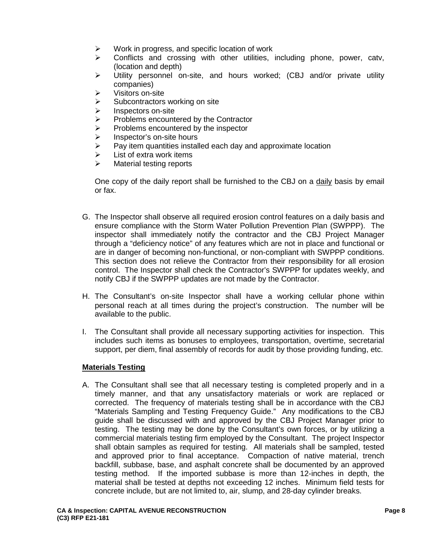- $\triangleright$  Work in progress, and specific location of work
- $\triangleright$  Conflicts and crossing with other utilities, including phone, power, catv, (location and depth)
- $\triangleright$  Utility personnel on-site, and hours worked; (CBJ and/or private utility companies)
- $\triangleright$  Visitors on-site
- $\triangleright$  Subcontractors working on site
- > Inspectors on-site<br>> Problems encounte
- $\triangleright$  Problems encountered by the Contractor<br>  $\triangleright$  Problems encountered by the inspector
- $\triangleright$  Problems encountered by the inspector<br>  $\triangleright$  Inspector's on-site hours
- $\triangleright$  Inspector's on-site hours<br> $\triangleright$  Pav item quantities install
- Pay item quantities installed each day and approximate location
- $\triangleright$  List of extra work items
- $\triangleright$  Material testing reports

One copy of the daily report shall be furnished to the CBJ on a daily basis by email or fax.

- G. The Inspector shall observe all required erosion control features on a daily basis and ensure compliance with the Storm Water Pollution Prevention Plan (SWPPP). The inspector shall immediately notify the contractor and the CBJ Project Manager through a "deficiency notice" of any features which are not in place and functional or are in danger of becoming non-functional, or non-compliant with SWPPP conditions. This section does not relieve the Contractor from their responsibility for all erosion control. The Inspector shall check the Contractor's SWPPP for updates weekly, and notify CBJ if the SWPPP updates are not made by the Contractor.
- H. The Consultant's on-site Inspector shall have a working cellular phone within personal reach at all times during the project's construction. The number will be available to the public.
- I. The Consultant shall provide all necessary supporting activities for inspection. This includes such items as bonuses to employees, transportation, overtime, secretarial support, per diem, final assembly of records for audit by those providing funding, etc.

#### **Materials Testing**

A. The Consultant shall see that all necessary testing is completed properly and in a timely manner, and that any unsatisfactory materials or work are replaced or corrected. The frequency of materials testing shall be in accordance with the CBJ "Materials Sampling and Testing Frequency Guide." Any modifications to the CBJ guide shall be discussed with and approved by the CBJ Project Manager prior to testing. The testing may be done by the Consultant's own forces, or by utilizing a commercial materials testing firm employed by the Consultant. The project Inspector shall obtain samples as required for testing. All materials shall be sampled, tested and approved prior to final acceptance. Compaction of native material, trench backfill, subbase, base, and asphalt concrete shall be documented by an approved testing method. If the imported subbase is more than 12-inches in depth, the material shall be tested at depths not exceeding 12 inches. Minimum field tests for concrete include, but are not limited to, air, slump, and 28-day cylinder breaks.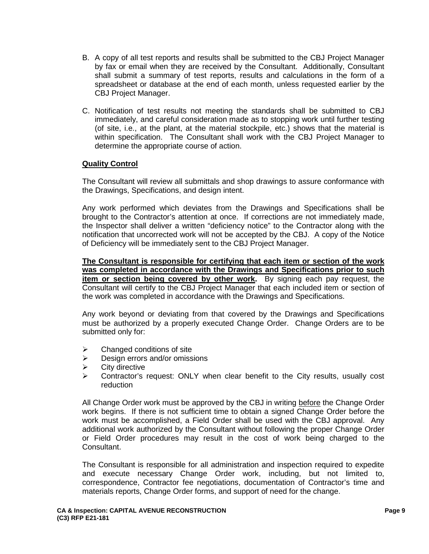- B. A copy of all test reports and results shall be submitted to the CBJ Project Manager by fax or email when they are received by the Consultant. Additionally, Consultant shall submit a summary of test reports, results and calculations in the form of a spreadsheet or database at the end of each month, unless requested earlier by the CBJ Project Manager.
- C. Notification of test results not meeting the standards shall be submitted to CBJ immediately, and careful consideration made as to stopping work until further testing (of site, i.e., at the plant, at the material stockpile, etc.) shows that the material is within specification. The Consultant shall work with the CBJ Project Manager to determine the appropriate course of action.

#### **Quality Control**

The Consultant will review all submittals and shop drawings to assure conformance with the Drawings, Specifications, and design intent.

Any work performed which deviates from the Drawings and Specifications shall be brought to the Contractor's attention at once. If corrections are not immediately made, the Inspector shall deliver a written "deficiency notice" to the Contractor along with the notification that uncorrected work will not be accepted by the CBJ. A copy of the Notice of Deficiency will be immediately sent to the CBJ Project Manager.

**The Consultant is responsible for certifying that each item or section of the work was completed in accordance with the Drawings and Specifications prior to such item or section being covered by other work.** By signing each pay request, the Consultant will certify to the CBJ Project Manager that each included item or section of the work was completed in accordance with the Drawings and Specifications.

Any work beyond or deviating from that covered by the Drawings and Specifications must be authorized by a properly executed Change Order. Change Orders are to be submitted only for:

- $\triangleright$  Changed conditions of site
- $\triangleright$  Design errors and/or omissions
- $\triangleright$  City directive
- $\triangleright$  Contractor's request: ONLY when clear benefit to the City results, usually cost reduction

All Change Order work must be approved by the CBJ in writing before the Change Order work begins. If there is not sufficient time to obtain a signed Change Order before the work must be accomplished, a Field Order shall be used with the CBJ approval. Any additional work authorized by the Consultant without following the proper Change Order or Field Order procedures may result in the cost of work being charged to the Consultant.

The Consultant is responsible for all administration and inspection required to expedite and execute necessary Change Order work, including, but not limited to, correspondence, Contractor fee negotiations, documentation of Contractor's time and materials reports, Change Order forms, and support of need for the change.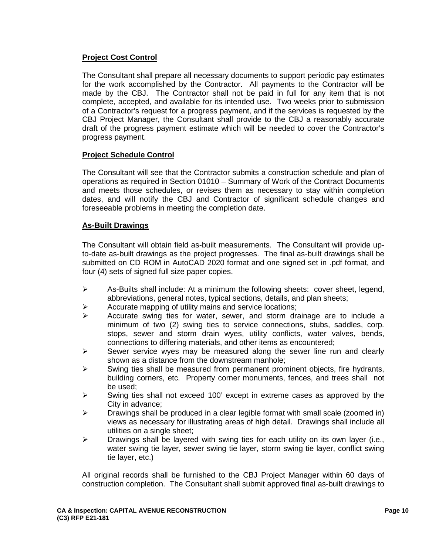# **Project Cost Control**

The Consultant shall prepare all necessary documents to support periodic pay estimates for the work accomplished by the Contractor. All payments to the Contractor will be made by the CBJ. The Contractor shall not be paid in full for any item that is not complete, accepted, and available for its intended use. Two weeks prior to submission of a Contractor's request for a progress payment, and if the services is requested by the CBJ Project Manager, the Consultant shall provide to the CBJ a reasonably accurate draft of the progress payment estimate which will be needed to cover the Contractor's progress payment.

#### **Project Schedule Control**

The Consultant will see that the Contractor submits a construction schedule and plan of operations as required in Section 01010 – Summary of Work of the Contract Documents and meets those schedules, or revises them as necessary to stay within completion dates, and will notify the CBJ and Contractor of significant schedule changes and foreseeable problems in meeting the completion date.

#### **As-Built Drawings**

The Consultant will obtain field as-built measurements. The Consultant will provide upto-date as-built drawings as the project progresses. The final as-built drawings shall be submitted on CD ROM in AutoCAD 2020 format and one signed set in .pdf format, and four (4) sets of signed full size paper copies.

- $\triangleright$  As-Builts shall include: At a minimum the following sheets: cover sheet, legend, abbreviations, general notes, typical sections, details, and plan sheets;
- $\triangleright$  Accurate mapping of utility mains and service locations;
- $\triangleright$  Accurate swing ties for water, sewer, and storm drainage are to include a minimum of two (2) swing ties to service connections, stubs, saddles, corp. stops, sewer and storm drain wyes, utility conflicts, water valves, bends, connections to differing materials, and other items as encountered;
- $\triangleright$  Sewer service wyes may be measured along the sewer line run and clearly shown as a distance from the downstream manhole;
- $\triangleright$  Swing ties shall be measured from permanent prominent objects, fire hydrants, building corners, etc. Property corner monuments, fences, and trees shall not be used;
- $\triangleright$  Swing ties shall not exceed 100' except in extreme cases as approved by the City in advance;
- $\triangleright$  Drawings shall be produced in a clear legible format with small scale (zoomed in) views as necessary for illustrating areas of high detail. Drawings shall include all utilities on a single sheet;
- $\triangleright$  Drawings shall be layered with swing ties for each utility on its own layer (i.e., water swing tie layer, sewer swing tie layer, storm swing tie layer, conflict swing tie layer, etc.)

All original records shall be furnished to the CBJ Project Manager within 60 days of construction completion. The Consultant shall submit approved final as-built drawings to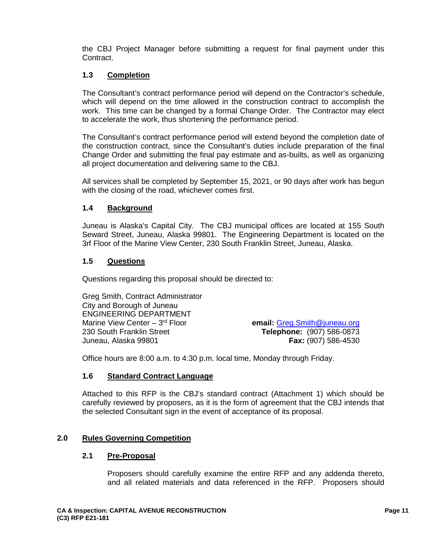the CBJ Project Manager before submitting a request for final payment under this Contract.

# **1.3 Completion**

The Consultant's contract performance period will depend on the Contractor's schedule, which will depend on the time allowed in the construction contract to accomplish the work. This time can be changed by a formal Change Order. The Contractor may elect to accelerate the work, thus shortening the performance period.

The Consultant's contract performance period will extend beyond the completion date of the construction contract, since the Consultant's duties include preparation of the final Change Order and submitting the final pay estimate and as-builts, as well as organizing all project documentation and delivering same to the CBJ.

All services shall be completed by September 15, 2021, or 90 days after work has begun with the closing of the road, whichever comes first.

#### **1.4 Background**

Juneau is Alaska's Capital City. The CBJ municipal offices are located at 155 South Seward Street, Juneau, Alaska 99801. The Engineering Department is located on the 3rf Floor of the Marine View Center, 230 South Franklin Street, Juneau, Alaska.

#### **1.5 Questions**

Questions regarding this proposal should be directed to:

Greg Smith, Contract Administrator City and Borough of Juneau ENGINEERING DEPARTMENT<br>Marine View Center - 3<sup>rd</sup> Floor Marine View Center – 3<sup>rd</sup> Floor **email:** [Greg.Smith@juneau.org](mailto:Greg.Smith@juneau.org)<br>130 South Franklin Street **example 1998 Telephone:** (907) 586-0873 Juneau, Alaska 99801 **Fax:** (907) 586-4530

230 South Franklin Street **Telephone:** (907) 586-0873

Office hours are 8:00 a.m. to 4:30 p.m. local time, Monday through Friday.

#### **1.6 Standard Contract Language**

Attached to this RFP is the CBJ's standard contract (Attachment 1) which should be carefully reviewed by proposers, as it is the form of agreement that the CBJ intends that the selected Consultant sign in the event of acceptance of its proposal.

#### **2.0 Rules Governing Competition**

#### **2.1 Pre-Proposal**

Proposers should carefully examine the entire RFP and any addenda thereto, and all related materials and data referenced in the RFP. Proposers should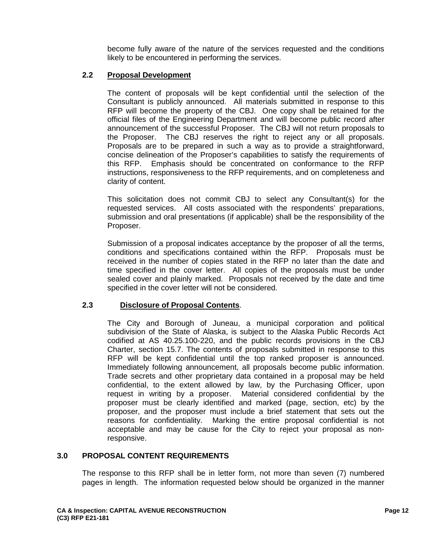become fully aware of the nature of the services requested and the conditions likely to be encountered in performing the services.

#### **2.2 Proposal Development**

The content of proposals will be kept confidential until the selection of the Consultant is publicly announced. All materials submitted in response to this RFP will become the property of the CBJ. One copy shall be retained for the official files of the Engineering Department and will become public record after announcement of the successful Proposer. The CBJ will not return proposals to the Proposer. The CBJ reserves the right to reject any or all proposals. Proposals are to be prepared in such a way as to provide a straightforward, concise delineation of the Proposer's capabilities to satisfy the requirements of this RFP. Emphasis should be concentrated on conformance to the RFP instructions, responsiveness to the RFP requirements, and on completeness and clarity of content.

This solicitation does not commit CBJ to select any Consultant(s) for the requested services. All costs associated with the respondents' preparations, submission and oral presentations (if applicable) shall be the responsibility of the Proposer.

Submission of a proposal indicates acceptance by the proposer of all the terms, conditions and specifications contained within the RFP. Proposals must be received in the number of copies stated in the RFP no later than the date and time specified in the cover letter. All copies of the proposals must be under sealed cover and plainly marked. Proposals not received by the date and time specified in the cover letter will not be considered.

#### **2.3 Disclosure of Proposal Contents**.

The City and Borough of Juneau, a municipal corporation and political subdivision of the State of Alaska, is subject to the Alaska Public Records Act codified at AS 40.25.100-220, and the public records provisions in the CBJ Charter, section 15.7. The contents of proposals submitted in response to this RFP will be kept confidential until the top ranked proposer is announced. Immediately following announcement, all proposals become public information. Trade secrets and other proprietary data contained in a proposal may be held confidential, to the extent allowed by law, by the Purchasing Officer, upon request in writing by a proposer. Material considered confidential by the proposer must be clearly identified and marked (page, section, etc) by the proposer, and the proposer must include a brief statement that sets out the reasons for confidentiality. Marking the entire proposal confidential is not acceptable and may be cause for the City to reject your proposal as nonresponsive.

#### **3.0 PROPOSAL CONTENT REQUIREMENTS**

The response to this RFP shall be in letter form, not more than seven (7) numbered pages in length. The information requested below should be organized in the manner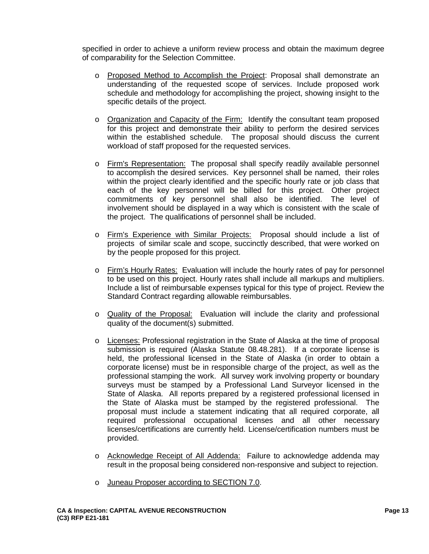specified in order to achieve a uniform review process and obtain the maximum degree of comparability for the Selection Committee.

- o Proposed Method to Accomplish the Project: Proposal shall demonstrate an understanding of the requested scope of services. Include proposed work schedule and methodology for accomplishing the project, showing insight to the specific details of the project.
- o Organization and Capacity of the Firm: Identify the consultant team proposed for this project and demonstrate their ability to perform the desired services within the established schedule. The proposal should discuss the current workload of staff proposed for the requested services.
- o Firm's Representation: The proposal shall specify readily available personnel to accomplish the desired services. Key personnel shall be named, their roles within the project clearly identified and the specific hourly rate or job class that each of the key personnel will be billed for this project. Other project commitments of key personnel shall also be identified. The level of involvement should be displayed in a way which is consistent with the scale of the project. The qualifications of personnel shall be included.
- o Firm's Experience with Similar Projects: Proposal should include a list of projects of similar scale and scope, succinctly described, that were worked on by the people proposed for this project.
- o Firm's Hourly Rates: Evaluation will include the hourly rates of pay for personnel to be used on this project. Hourly rates shall include all markups and multipliers. Include a list of reimbursable expenses typical for this type of project. Review the Standard Contract regarding allowable reimbursables.
- o Quality of the Proposal: Evaluation will include the clarity and professional quality of the document(s) submitted.
- o Licenses: Professional registration in the State of Alaska at the time of proposal submission is required (Alaska Statute 08.48.281). If a corporate license is held, the professional licensed in the State of Alaska (in order to obtain a corporate license) must be in responsible charge of the project, as well as the professional stamping the work. All survey work involving property or boundary surveys must be stamped by a Professional Land Surveyor licensed in the State of Alaska. All reports prepared by a registered professional licensed in the State of Alaska must be stamped by the registered professional. The proposal must include a statement indicating that all required corporate, all required professional occupational licenses and all other necessary licenses/certifications are currently held. License/certification numbers must be provided.
- o Acknowledge Receipt of All Addenda: Failure to acknowledge addenda may result in the proposal being considered non-responsive and subject to rejection.
- o Juneau Proposer according to SECTION 7.0.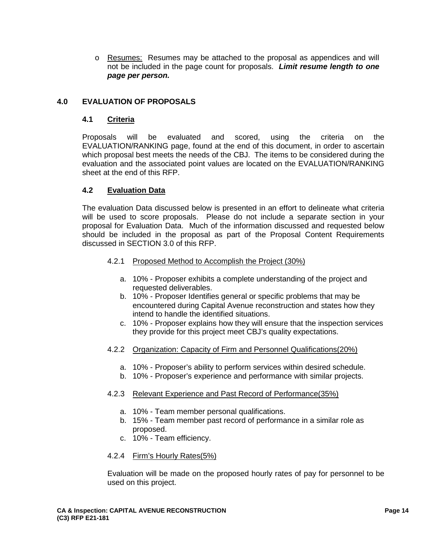o Resumes: Resumes may be attached to the proposal as appendices and will not be included in the page count for proposals. *Limit resume length to one page per person.*

## **4.0 EVALUATION OF PROPOSALS**

#### **4.1 Criteria**

Proposals will be evaluated and scored, using the criteria on the EVALUATION/RANKING page, found at the end of this document, in order to ascertain which proposal best meets the needs of the CBJ. The items to be considered during the evaluation and the associated point values are located on the EVALUATION/RANKING sheet at the end of this RFP.

#### **4.2 Evaluation Data**

The evaluation Data discussed below is presented in an effort to delineate what criteria will be used to score proposals. Please do not include a separate section in your proposal for Evaluation Data. Much of the information discussed and requested below should be included in the proposal as part of the Proposal Content Requirements discussed in SECTION 3.0 of this RFP.

#### 4.2.1 Proposed Method to Accomplish the Project (30%)

- a. 10% Proposer exhibits a complete understanding of the project and requested deliverables.
- b. 10% Proposer Identifies general or specific problems that may be encountered during Capital Avenue reconstruction and states how they intend to handle the identified situations.
- c. 10% Proposer explains how they will ensure that the inspection services they provide for this project meet CBJ's quality expectations.
- 4.2.2 Organization: Capacity of Firm and Personnel Qualifications(20%)
	- a. 10% Proposer's ability to perform services within desired schedule.
	- b. 10% Proposer's experience and performance with similar projects.
- 4.2.3 Relevant Experience and Past Record of Performance(35%)
	- a. 10% Team member personal qualifications.
	- b. 15% Team member past record of performance in a similar role as proposed.
	- c. 10% Team efficiency.

#### 4.2.4 Firm's Hourly Rates(5%)

Evaluation will be made on the proposed hourly rates of pay for personnel to be used on this project.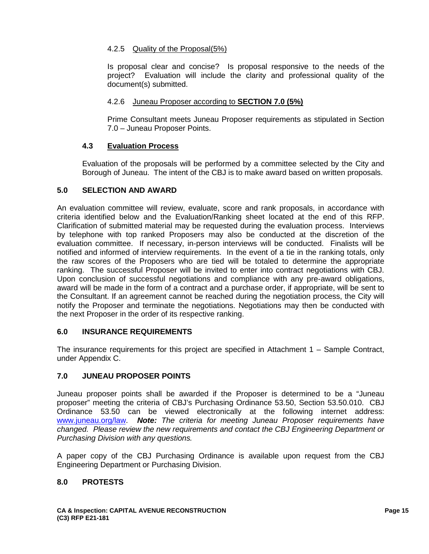# 4.2.5 Quality of the Proposal(5%)

Is proposal clear and concise? Is proposal responsive to the needs of the project? Evaluation will include the clarity and professional quality of the document(s) submitted.

#### 4.2.6 Juneau Proposer according to **SECTION 7.0 (5%)**

Prime Consultant meets Juneau Proposer requirements as stipulated in Section 7.0 – Juneau Proposer Points.

#### **4.3 Evaluation Process**

Evaluation of the proposals will be performed by a committee selected by the City and Borough of Juneau. The intent of the CBJ is to make award based on written proposals.

#### **5.0 SELECTION AND AWARD**

An evaluation committee will review, evaluate, score and rank proposals, in accordance with criteria identified below and the Evaluation/Ranking sheet located at the end of this RFP. Clarification of submitted material may be requested during the evaluation process. Interviews by telephone with top ranked Proposers may also be conducted at the discretion of the evaluation committee. If necessary, in-person interviews will be conducted. Finalists will be notified and informed of interview requirements. In the event of a tie in the ranking totals, only the raw scores of the Proposers who are tied will be totaled to determine the appropriate ranking. The successful Proposer will be invited to enter into contract negotiations with CBJ. Upon conclusion of successful negotiations and compliance with any pre-award obligations, award will be made in the form of a contract and a purchase order, if appropriate, will be sent to the Consultant. If an agreement cannot be reached during the negotiation process, the City will notify the Proposer and terminate the negotiations. Negotiations may then be conducted with the next Proposer in the order of its respective ranking.

# **6.0 INSURANCE REQUIREMENTS**

The insurance requirements for this project are specified in Attachment 1 – Sample Contract, under Appendix C.

#### **7.0 JUNEAU PROPOSER POINTS**

Juneau proposer points shall be awarded if the Proposer is determined to be a "Juneau proposer" meeting the criteria of CBJ's Purchasing Ordinance 53.50, Section 53.50.010. CBJ Ordinance 53.50 can be viewed electronically at the following internet address: [www.juneau.org/law.](http://www.juneau.org/law) *Note: The criteria for meeting Juneau Proposer requirements have changed. Please review the new requirements and contact the CBJ Engineering Department or Purchasing Division with any questions.* 

A paper copy of the CBJ Purchasing Ordinance is available upon request from the CBJ Engineering Department or Purchasing Division.

#### **8.0 PROTESTS**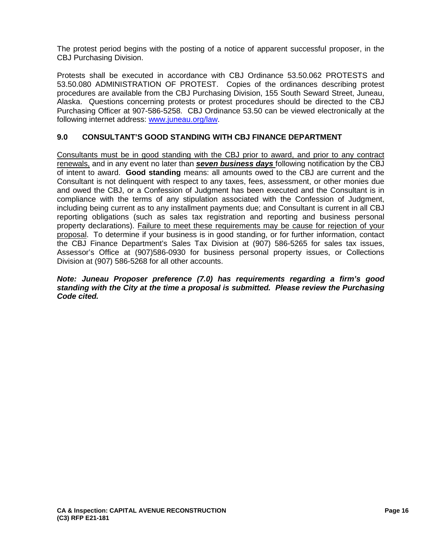The protest period begins with the posting of a notice of apparent successful proposer, in the CBJ Purchasing Division.

Protests shall be executed in accordance with CBJ Ordinance 53.50.062 PROTESTS and 53.50.080 ADMINISTRATION OF PROTEST. Copies of the ordinances describing protest procedures are available from the CBJ Purchasing Division, 155 South Seward Street, Juneau, Alaska. Questions concerning protests or protest procedures should be directed to the CBJ Purchasing Officer at 907-586-5258. CBJ Ordinance 53.50 can be viewed electronically at the following internet address: [www.juneau.org/law.](http://www.juneau.org/law)

# **9.0 CONSULTANT'S GOOD STANDING WITH CBJ FINANCE DEPARTMENT**

Consultants must be in good standing with the CBJ prior to award, and prior to any contract renewals, and in any event no later than *seven business days* following notification by the CBJ of intent to award. **Good standing** means: all amounts owed to the CBJ are current and the Consultant is not delinquent with respect to any taxes, fees, assessment, or other monies due and owed the CBJ, or a Confession of Judgment has been executed and the Consultant is in compliance with the terms of any stipulation associated with the Confession of Judgment, including being current as to any installment payments due; and Consultant is current in all CBJ reporting obligations (such as sales tax registration and reporting and business personal property declarations). Failure to meet these requirements may be cause for rejection of your proposal. To determine if your business is in good standing, or for further information, contact the CBJ Finance Department's Sales Tax Division at (907) 586-5265 for sales tax issues, Assessor's Office at (907)586-0930 for business personal property issues, or Collections Division at (907) 586-5268 for all other accounts.

#### *Note: Juneau Proposer preference (7.0) has requirements regarding a firm's good standing with the City at the time a proposal is submitted. Please review the Purchasing Code cited.*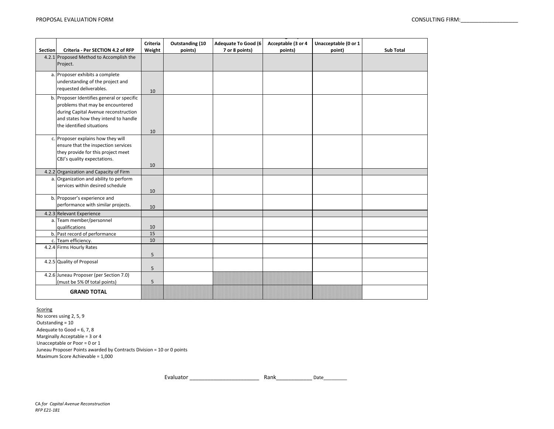|                |                                            | <b>Criteria</b> | Outstanding (10 | <b>Adequate To Good (6)</b> | Acceptable (3 or 4 | Unacceptable (0 or 1 |                  |
|----------------|--------------------------------------------|-----------------|-----------------|-----------------------------|--------------------|----------------------|------------------|
| <b>Section</b> | Criteria - Per SECTION 4.2 of RFP          | Weight          | points)         | 7 or 8 points)              | points)            | point)               | <b>Sub Total</b> |
|                | 4.2.1 Proposed Method to Accomplish the    |                 |                 |                             |                    |                      |                  |
|                | Project.                                   |                 |                 |                             |                    |                      |                  |
|                |                                            |                 |                 |                             |                    |                      |                  |
|                | a. Proposer exhibits a complete            |                 |                 |                             |                    |                      |                  |
|                | understanding of the project and           |                 |                 |                             |                    |                      |                  |
|                | requested deliverables.                    | 10              |                 |                             |                    |                      |                  |
|                | b. Proposer Identifies general or specific |                 |                 |                             |                    |                      |                  |
|                | problems that may be encountered           |                 |                 |                             |                    |                      |                  |
|                | during Capital Avenue reconstruction       |                 |                 |                             |                    |                      |                  |
|                | and states how they intend to handle       |                 |                 |                             |                    |                      |                  |
|                | the identified situations                  |                 |                 |                             |                    |                      |                  |
|                |                                            | 10              |                 |                             |                    |                      |                  |
|                |                                            |                 |                 |                             |                    |                      |                  |
|                | c. Proposer explains how they will         |                 |                 |                             |                    |                      |                  |
|                | ensure that the inspection services        |                 |                 |                             |                    |                      |                  |
|                | they provide for this project meet         |                 |                 |                             |                    |                      |                  |
|                | CBJ's quality expectations.                |                 |                 |                             |                    |                      |                  |
|                |                                            | 10              |                 |                             |                    |                      |                  |
|                | 4.2.2 Organization and Capacity of Firm    |                 |                 |                             |                    |                      |                  |
| a.             | Organization and ability to perform        |                 |                 |                             |                    |                      |                  |
|                | services within desired schedule           |                 |                 |                             |                    |                      |                  |
|                |                                            | 10              |                 |                             |                    |                      |                  |
|                | b. Proposer's experience and               |                 |                 |                             |                    |                      |                  |
|                | performance with similar projects.         | 10              |                 |                             |                    |                      |                  |
|                | 4.2.3 Relevant Experience                  |                 |                 |                             |                    |                      |                  |
| a.             | Team member/personnel                      |                 |                 |                             |                    |                      |                  |
|                | qualifications                             | 10              |                 |                             |                    |                      |                  |
|                | b. Past record of performance              | 15              |                 |                             |                    |                      |                  |
|                | c. Team efficiency.                        | 10              |                 |                             |                    |                      |                  |
|                | 4.2.4 Firms Hourly Rates                   |                 |                 |                             |                    |                      |                  |
|                |                                            | 5               |                 |                             |                    |                      |                  |
|                | 4.2.5 Quality of Proposal                  |                 |                 |                             |                    |                      |                  |
|                |                                            | 5               |                 |                             |                    |                      |                  |
|                | 4.2.6 Juneau Proposer (per Section 7.0)    |                 |                 |                             |                    |                      |                  |
|                | (must be 5% Of total points)               | 5               |                 |                             |                    |                      |                  |
|                |                                            |                 |                 |                             |                    |                      |                  |
|                | <b>GRAND TOTAL</b>                         |                 |                 |                             |                    |                      |                  |

**Scoring** 

No scores using 2, 5, 9 Maximum Score Achievable = 1,000 Juneau Proposer Points awarded by Contracts Division = 10 or 0 points Outstanding = 10 Adequate to Good =  $6, 7, 8$ Marginally Acceptable = 3 or 4 Unacceptable or Poor = 0 or 1

Rank\_\_\_\_\_\_\_\_\_\_\_\_ Date\_\_\_\_\_\_\_\_\_ Evaluator \_\_\_\_\_\_\_\_\_\_\_\_\_\_\_\_\_\_\_\_\_\_\_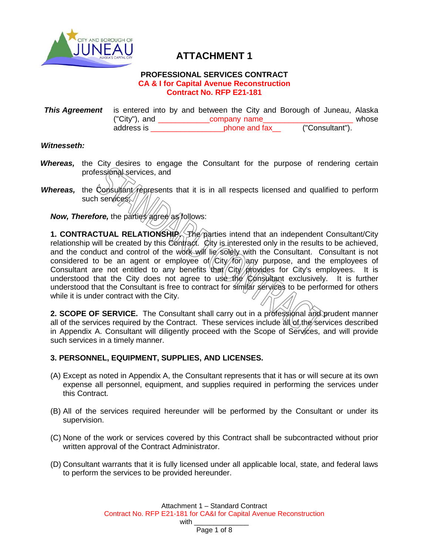

# **ATTACHMENT 1**

#### **PROFESSIONAL SERVICES CONTRACT CA & I for Capital Avenue Reconstruction Contract No. RFP E21-181**

**This Agreement** is entered into by and between the City and Borough of Juneau, Alaska<br>
("City"), and company name ("City"), and  $\frac{\text{company name}}{\text{phone and fax}}$  ("Consultant"). address is \_\_\_\_\_\_\_\_\_\_\_\_\_\_\_\_\_\_\_\_\_phone and fax

#### *Witnesseth:*

- *Whereas,* the City desires to engage the Consultant for the purpose of rendering certain professional services, and
- *Whereas*, the Consultant represents that it is in all respects licensed and qualified to perform such services;//

*Now, Therefore, the parties agree as follows:* 

**1. CONTRACTUAL RELATIONSHIP.** The parties intend that an independent Consultant/City relationship will be created by this Contract. City is interested only in the results to be achieved, and the conduct and control of the work will lie solely with the Consultant. Consultant is not considered to be an agent or employee of  $/$ City $/$  for any purpose, and the employees of consultant are not entitled to any benefits that City provides for City's employees. It is understood that the City does not agree to use the Consultant exclusively. It is further understood that the Consultant is free to contract for similar services to be performed for others while it is under contract with the City.

2. SCOPE OF SERVICE. The Consultant shall carry out in a professional and prudent manner all of the services required by the Contract. These services include  $\frac{d}{dt}$  of the services described in Appendix A. Consultant will diligently proceed with the Scope of Services, and will provide such services in a timely manner.

#### **3. PERSONNEL, EQUIPMENT, SUPPLIES, AND LICENSES.**

- (A) Except as noted in Appendix A, the Consultant represents that it has or will secure at its own expense all personnel, equipment, and supplies required in performing the services under this Contract.
- (B) All of the services required hereunder will be performed by the Consultant or under its supervision.
- (C) None of the work or services covered by this Contract shall be subcontracted without prior written approval of the Contract Administrator.
- (D) Consultant warrants that it is fully licensed under all applicable local, state, and federal laws to perform the services to be provided hereunder.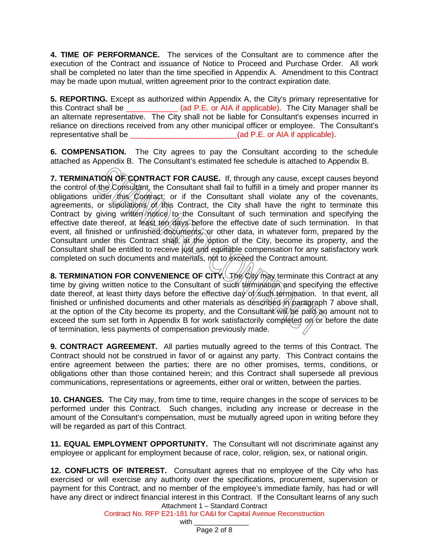**4. TIME OF PERFORMANCE.** The services of the Consultant are to commence after the execution of the Contract and issuance of Notice to Proceed and Purchase Order. All work shall be completed no later than the time specified in Appendix A. Amendment to this Contract may be made upon mutual, written agreement prior to the contract expiration date.

**5. REPORTING.** Except as authorized within Appendix A, the City's primary representative for this Contract shall be \_\_\_\_\_\_\_\_\_\_\_\_ (ad P.E. or AIA if applicable). The City Manager shall be an alternate representative. The City shall not be liable for Consultant's expenses incurred in reliance on directions received from any other municipal officer or employee. The Consultant's representative shall be  $(ad P.E. or AIA if applicable)$ .

**6. COMPENSATION.** The City agrees to pay the Consultant according to the schedule attached as Appendix B. The Consultant's estimated fee schedule is attached to Appendix B.

**7. TERMINATION OF CONTRACT FOR CAUSE.** If, through any cause, except causes beyond the control of the Consultant, the Consultant shall fail to fulfill in a timely and proper manner its obligations under this Contract; or if the Consultant shall violate any of the covenants, agreements, or stipulations of this Contract, the City shall have the right to terminate this Contract by giving written notice to the Consultant of such termination and specifying the effective date thereof, at least ten days before the effective date of such termination. In that event, all finished or unfinished documents, or other data, in whatever form, prepared by the Consultant under this Contract shall, at the option of the City, become its property, and the Consultant shall be entitled to receive just and equitable compensation for any satisfactory work completed on such documents and materials, not to exceed the Contract amount.

**8. TERMINATION FOR CONVENIENCE OF CITY.** The City may terminate this Contract at any time by giving written notice to the Consultant of such termination and specifying the effective date thereof, at least thirty days before the effective day of such termination. In that event, all finished or unfinished documents and other materials as described in paragraph 7 above shall, at the option of the City become its property, and the Consultant  $\hat{w}$   $\hat{w}$   $\hat{p}$  an amount not to exceed the sum set forth in Appendix B for work satisfactorily completed on or before the date of termination, less payments of compensation previously made.

**9. CONTRACT AGREEMENT.** All parties mutually agreed to the terms of this Contract. The Contract should not be construed in favor of or against any party. This Contract contains the entire agreement between the parties; there are no other promises, terms, conditions, or obligations other than those contained herein; and this Contract shall supersede all previous communications, representations or agreements, either oral or written, between the parties.

**10. CHANGES.** The City may, from time to time, require changes in the scope of services to be performed under this Contract. Such changes, including any increase or decrease in the amount of the Consultant's compensation, must be mutually agreed upon in writing before they will be regarded as part of this Contract.

**11. EQUAL EMPLOYMENT OPPORTUNITY.** The Consultant will not discriminate against any employee or applicant for employment because of race, color, religion, sex, or national origin.

Attachment 1 – Standard Contract **12. CONFLICTS OF INTEREST.** Consultant agrees that no employee of the City who has exercised or will exercise any authority over the specifications, procurement, supervision or payment for this Contract, and no member of the employee's immediate family, has had or will have any direct or indirect financial interest in this Contract. If the Consultant learns of any such

Contract No. RFP E21-181 for CA&I for Capital Avenue Reconstruction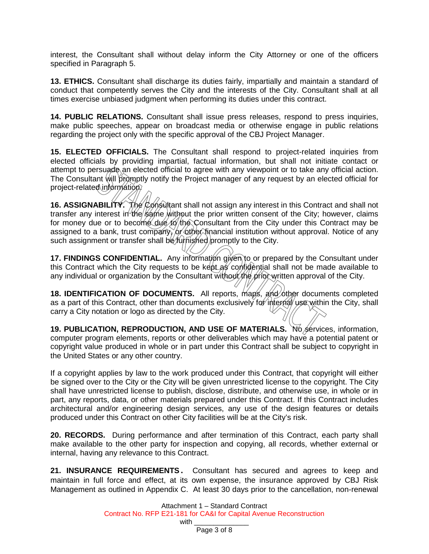interest, the Consultant shall without delay inform the City Attorney or one of the officers specified in Paragraph 5.

**13. ETHICS.** Consultant shall discharge its duties fairly, impartially and maintain a standard of conduct that competently serves the City and the interests of the City. Consultant shall at all times exercise unbiased judgment when performing its duties under this contract.

**14. PUBLIC RELATIONS.** Consultant shall issue press releases, respond to press inquiries, make public speeches, appear on broadcast media or otherwise engage in public relations regarding the project only with the specific approval of the CBJ Project Manager.

**15. ELECTED OFFICIALS.** The Consultant shall respond to project-related inquiries from elected officials by providing impartial, factual information, but shall not initiate contact or attempt to persuade an elected official to agree with any viewpoint or to take any official action. The Consultant will promptly notify the Project manager of any request by an elected official for project-related information?

16. ASSIGNABILITY. The Consultant shall not assign any interest in this Contract and shall not transfer any interest in the same without the prior written consent of the City; however, claims for money due or to become due to the Consultant from the City under this Contract may be assigned to a bank, trust company, or other financial institution without approval. Notice of any such assignment or transfer shall be *furnished* promptly to the City.

**17. FINDINGS CONFIDENTIAL.** Any information given to or prepared by the Consultant under this Contract which the City requests to be kept as confidential shall not be made available to any individual or organization by the Consultant without the prior written approval of the City.

**18. IDENTIFICATION OF DOCUMENTS.** All reports, maps, and other documents completed as a part of this Contract, other than documents exclusively for internal use within the City, shall carry a City notation or logo as directed by the City.

**19. PUBLICATION, REPRODUCTION, AND USE OF MATERIALS.** No services, information, computer program elements, reports or other deliverables which may have a potential patent or copyright value produced in whole or in part under this Contract shall be subject to copyright in the United States or any other country.

If a copyright applies by law to the work produced under this Contract, that copyright will either be signed over to the City or the City will be given unrestricted license to the copyright. The City shall have unrestricted license to publish, disclose, distribute, and otherwise use, in whole or in part, any reports, data, or other materials prepared under this Contract. If this Contract includes architectural and/or engineering design services, any use of the design features or details produced under this Contract on other City facilities will be at the City's risk.

**20. RECORDS.** During performance and after termination of this Contract, each party shall make available to the other party for inspection and copying, all records, whether external or internal, having any relevance to this Contract.

**21. INSURANCE REQUIREMENTS.** Consultant has secured and agrees to keep and maintain in full force and effect, at its own expense, the insurance approved by CBJ Risk Management as outlined in Appendix C. At least 30 days prior to the cancellation, non-renewal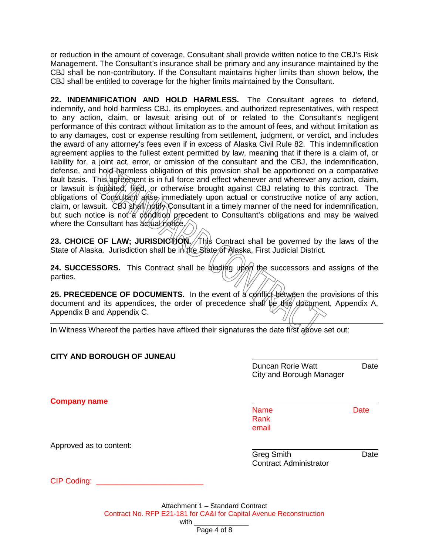or reduction in the amount of coverage, Consultant shall provide written notice to the CBJ's Risk Management. The Consultant's insurance shall be primary and any insurance maintained by the CBJ shall be non-contributory. If the Consultant maintains higher limits than shown below, the CBJ shall be entitled to coverage for the higher limits maintained by the Consultant.

**22. INDEMNIFICATION AND HOLD HARMLESS.** The Consultant agrees to defend, indemnify, and hold harmless CBJ, its employees, and authorized representatives, with respect to any action, claim, or lawsuit arising out of or related to the Consultant's negligent performance of this contract without limitation as to the amount of fees, and without limitation as to any damages, cost or expense resulting from settlement, judgment, or verdict, and includes the award of any attorney's fees even if in excess of Alaska Civil Rule 82. This indemnification agreement applies to the fullest extent permitted by law, meaning that if there is a claim of, or liability for, a joint act, error, or omission of the consultant and the CBJ, the indemnification, defense, and hold harmless obligation of this provision shall be apportioned on a comparative fault basis. This agreement is in full force and effect whenever and wherever any action, claim, or lawsuit is  $\oint$ nitiated, filed, or otherwise brought against CBJ relating to this contract. The obligations of Consultant arise immediately upon actual or constructive notice of any action, claim, or lawsuit. CBJ shall notify Consultant in a timely manner of the need for indemnification, but such notice is not a condition precedent to Consultant's obligations and may be waived where the Consultant has actual notice.

**23. CHOICE OF LAW; JURISDICTION. This Contract shall be governed by the laws of the** State of Alaska. Jurisdiction shall be in the State of Alaska, First Judicial District.

**24. SUCCESSORS.** This Contract shall be binding upon the successors and assigns of the parties.

**25. PRECEDENCE OF DOCUMENTS.** In the event of a conflict between the provisions of this document and its appendices, the order of precedence shall be this document, Appendix A, Appendix B and Appendix C.

In Witness Whereof the parties have affixed their signatures the date first above set out:

| <b>CITY AND BOROUGH OF JUNEAU</b> |                                                      |             |
|-----------------------------------|------------------------------------------------------|-------------|
|                                   | <b>Duncan Rorie Watt</b><br>City and Borough Manager | Date        |
| <b>Company name</b>               |                                                      |             |
|                                   | <b>Name</b><br>Rank<br>email                         | <b>Date</b> |
| Approved as to content:           |                                                      |             |
|                                   | <b>Greg Smith</b><br><b>Contract Administrator</b>   | Date        |
| CIP Coding: ______                |                                                      |             |
|                                   |                                                      |             |

Attachment 1 – Standard Contract Contract No. RFP E21-181 for CA&I for Capital Avenue Reconstruction with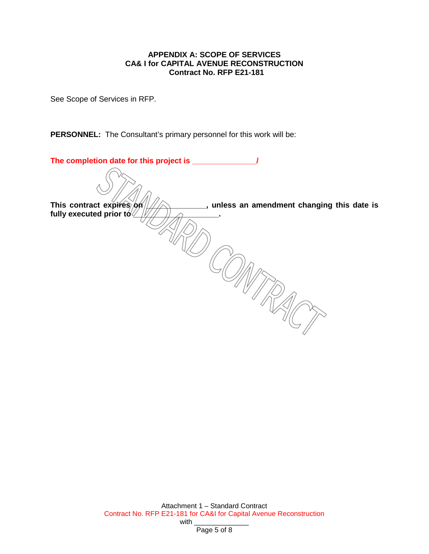#### **APPENDIX A: SCOPE OF SERVICES CA& I for CAPITAL AVENUE RECONSTRUCTION Contract No. RFP E21-181**

See Scope of Services in RFP.

**PERSONNEL:** The Consultant's primary personnel for this work will be:

| The completion date for this project is _                               |  |
|-------------------------------------------------------------------------|--|
|                                                                         |  |
| This contract expires on<br>, unless an amendment changing this date is |  |
| fully executed prior to $\sqrt{2}$                                      |  |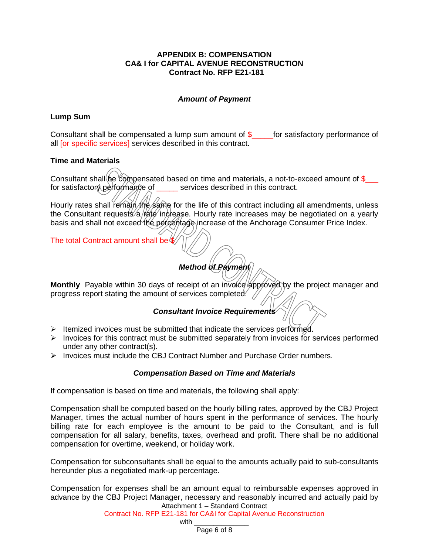#### **APPENDIX B: COMPENSATION CA& I for CAPITAL AVENUE RECONSTRUCTION Contract No. RFP E21-181**

#### *Amount of Payment*

#### **Lump Sum**

Consultant shall be compensated a lump sum amount of  $\$\$  for satisfactory performance of all [or specific services] services described in this contract.

#### **Time and Materials**

Consultant shall be compensated based on time and materials, a not-to-exceed amount of  $\frac{1}{2}$ for satisfactory performance of services described in this contract.

Hourly rates shall remain the same for the life of this contract including all amendments, unless the Consultant requests/a/rate increase. Hourly rate increases may be negotiated on a yearly basis and shall not exceed the percentage increase of the Anchorage Consumer Price Index.

The total Contract amount shall be \$

# *Method of Payment*

Monthly Payable within 30 days of receipt of an involce approved by the project manager and progress report stating the amount of services completed.

#### *Consultant Invoice Requirements*

- $\triangleright$  Itemized invoices must be submitted that indicate the services performed.
- $\triangleright$  Invoices for this contract must be submitted separately from invoices for services performed under any other contract(s).
- $\triangleright$  Invoices must include the CBJ Contract Number and Purchase Order numbers.

#### *Compensation Based on Time and Materials*

If compensation is based on time and materials, the following shall apply:

Compensation shall be computed based on the hourly billing rates, approved by the CBJ Project Manager, times the actual number of hours spent in the performance of services. The hourly billing rate for each employee is the amount to be paid to the Consultant, and is full compensation for all salary, benefits, taxes, overhead and profit. There shall be no additional compensation for overtime, weekend, or holiday work.

Compensation for subconsultants shall be equal to the amounts actually paid to sub-consultants hereunder plus a negotiated mark-up percentage.

Attachment 1 – Standard Contract Compensation for expenses shall be an amount equal to reimbursable expenses approved in advance by the CBJ Project Manager, necessary and reasonably incurred and actually paid by

Contract No. RFP E21-181 for CA&I for Capital Avenue Reconstruction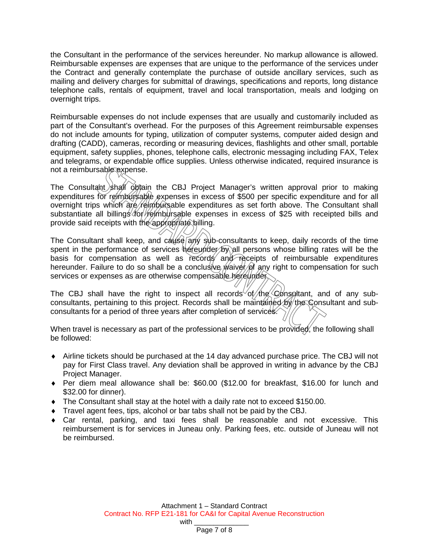the Consultant in the performance of the services hereunder. No markup allowance is allowed. Reimbursable expenses are expenses that are unique to the performance of the services under the Contract and generally contemplate the purchase of outside ancillary services, such as mailing and delivery charges for submittal of drawings, specifications and reports, long distance telephone calls, rentals of equipment, travel and local transportation, meals and lodging on overnight trips.

Reimbursable expenses do not include expenses that are usually and customarily included as part of the Consultant's overhead. For the purposes of this Agreement reimbursable expenses do not include amounts for typing, utilization of computer systems, computer aided design and drafting (CADD), cameras, recording or measuring devices, flashlights and other small, portable equipment, safety supplies, phones, telephone calls, electronic messaging including FAX, Telex and telegrams, or expendable office supplies. Unless otherwise indicated, required insurance is not a reimbursable expense.

The Consultant shall obtain the CBJ Project Manager's written approval prior to making expenditures for reimbursable expenses in excess of \$500 per specific expenditure and for all overnight trips which are reimbursable expenditures as set forth above. The Consultant shall substantiate all billings for reimbursable expenses in excess of \$25 with receipted bills and provide said receipts with the appropriate billing.

The Consultant shall keep, and cause any sub-consultants to keep, daily records of the time spent in the performance of services hereunder by all persons whose billing rates will be the basis for compensation as well as records and receipts of reimbursable expenditures hereunder. Failure to do so shall be a conclusive *waiver* of any right to compensation for such services or expenses as are otherwise compensable hereunder.

The CBJ shall have the right to inspect all records of the Consultant, and of any subconsultants, pertaining to this project. Records shall be maintained by the Consultant and subconsultants for a period of three years after completion of services.

When travel is necessary as part of the professional services to be provided, the following shall be followed:

- ♦ Airline tickets should be purchased at the 14 day advanced purchase price. The CBJ will not pay for First Class travel. Any deviation shall be approved in writing in advance by the CBJ Project Manager.
- ♦ Per diem meal allowance shall be: \$60.00 (\$12.00 for breakfast, \$16.00 for lunch and \$32.00 for dinner).
- ♦ The Consultant shall stay at the hotel with a daily rate not to exceed \$150.00.
- ♦ Travel agent fees, tips, alcohol or bar tabs shall not be paid by the CBJ.
- ♦ Car rental, parking, and taxi fees shall be reasonable and not excessive. This reimbursement is for services in Juneau only. Parking fees, etc. outside of Juneau will not be reimbursed.